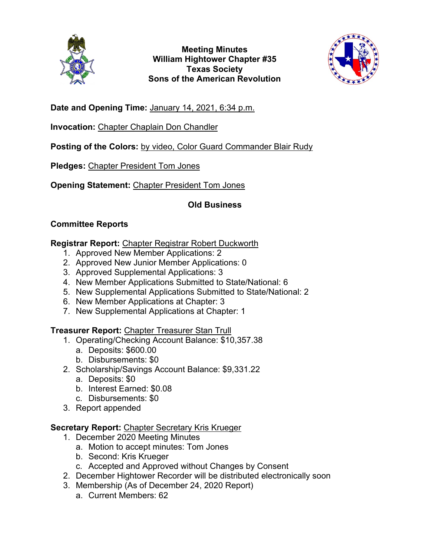

**Meeting Minutes William Hightower Chapter #35 Texas Society Sons of the American Revolution**



**Date and Opening Time:** January 14, 2021, 6:34 p.m.

**Invocation:** Chapter Chaplain Don Chandler

Posting of the Colors: by video, Color Guard Commander Blair Rudy

**Pledges:** Chapter President Tom Jones

**Opening Statement:** Chapter President Tom Jones

# **Old Business**

## **Committee Reports**

## **Registrar Report:** Chapter Registrar Robert Duckworth

- 1. Approved New Member Applications: 2
- 2. Approved New Junior Member Applications: 0
- 3. Approved Supplemental Applications: 3
- 4. New Member Applications Submitted to State/National: 6
- 5. New Supplemental Applications Submitted to State/National: 2
- 6. New Member Applications at Chapter: 3
- 7. New Supplemental Applications at Chapter: 1

## **Treasurer Report:** Chapter Treasurer Stan Trull

- 1. Operating/Checking Account Balance: \$10,357.38
	- a. Deposits: \$600.00
	- b. Disbursements: \$0
- 2. Scholarship/Savings Account Balance: \$9,331.22
	- a. Deposits: \$0
	- b. Interest Earned: \$0.08
	- c. Disbursements: \$0
- 3. Report appended

## **Secretary Report:** Chapter Secretary Kris Krueger

- 1. December 2020 Meeting Minutes
	- a. Motion to accept minutes: Tom Jones
	- b. Second: Kris Krueger
	- c. Accepted and Approved without Changes by Consent
- 2. December Hightower Recorder will be distributed electronically soon
- 3. Membership (As of December 24, 2020 Report)
	- a. Current Members: 62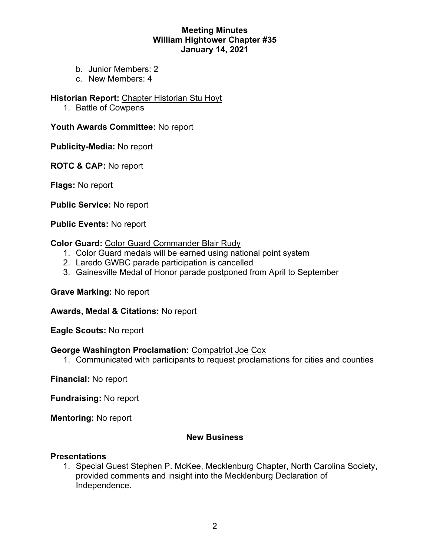### **Meeting Minutes William Hightower Chapter #35 January 14, 2021**

- b. Junior Members: 2
- c. New Members: 4

#### **Historian Report:** Chapter Historian Stu Hoyt

1. Battle of Cowpens

### **Youth Awards Committee:** No report

**Publicity-Media:** No report

**ROTC & CAP:** No report

**Flags:** No report

**Public Service:** No report

**Public Events:** No report

#### **Color Guard:** Color Guard Commander Blair Rudy

- 1. Color Guard medals will be earned using national point system
- 2. Laredo GWBC parade participation is cancelled
- 3. Gainesville Medal of Honor parade postponed from April to September

**Grave Marking:** No report

**Awards, Medal & Citations:** No report

**Eagle Scouts:** No report

#### **George Washington Proclamation:** Compatriot Joe Cox

1. Communicated with participants to request proclamations for cities and counties

**Financial:** No report

**Fundraising:** No report

**Mentoring:** No report

### **New Business**

#### **Presentations**

1. Special Guest Stephen P. McKee, Mecklenburg Chapter, North Carolina Society, provided comments and insight into the Mecklenburg Declaration of Independence.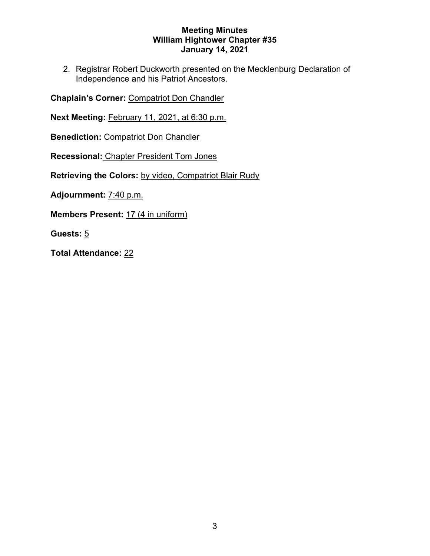### **Meeting Minutes William Hightower Chapter #35 January 14, 2021**

2. Registrar Robert Duckworth presented on the Mecklenburg Declaration of Independence and his Patriot Ancestors.

**Chaplain's Corner:** Compatriot Don Chandler

**Next Meeting:** February 11, 2021, at 6:30 p.m.

**Benediction: Compatriot Don Chandler** 

**Recessional:** Chapter President Tom Jones

**Retrieving the Colors:** by video, Compatriot Blair Rudy

**Adjournment:** 7:40 p.m.

**Members Present:** 17 (4 in uniform)

**Guests:** 5

**Total Attendance:** 22